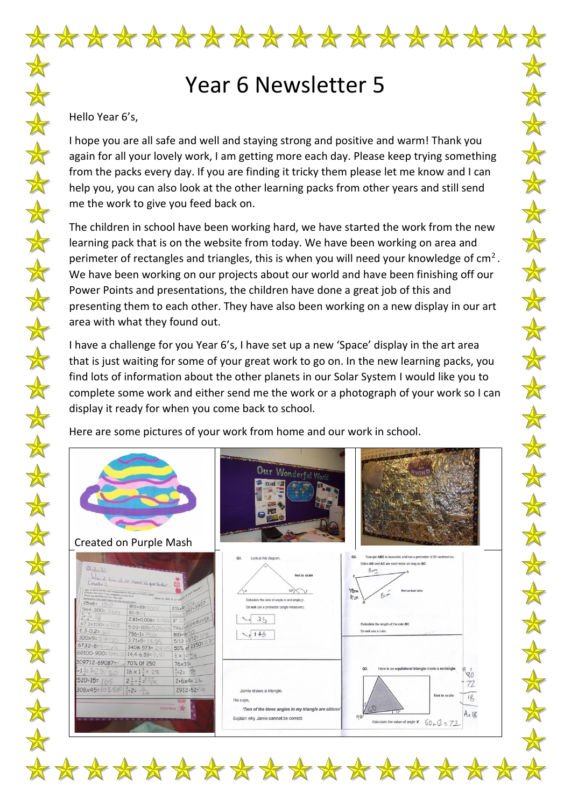## Year 6 Newsletter 5

 $\mathbb{X}$ 

 $\mathbb{X}$ 

 $\bigstar$ 

会

本本

 $\frac{1}{N}$ 

 $\bigstar$ 

 $\bigstar$ 

一个

 $\frac{1}{N}$ 

 $\color{red} \bigstar$ 

 $\mathbb{\mathbb{A}}$ 

 $\frac{1}{N}$ 

 $\bigstar$ 

 $\color{red} \bigstar$ 

 $\color{red} \bigstar$ 

 $\frac{1}{\sqrt{2}}$ 

 $\frac{1}{2}$ 

## Hello Year 6's,

I hope you are all safe and well and staying strong and positive and warm! Thank you again for all your lovely work, I am getting more each day. Please keep trying something from the packs every day. If you are finding it tricky them please let me know and I can help you, you can also look at the other learning packs from other years and still send me the work to give you feed back on.

The children in school have been working hard, we have started the work from the new learning pack that is on the website from today. We have been working on area and perimeter of rectangles and triangles, this is when you will need your knowledge of  $cm<sup>2</sup>$ . We have been working on our projects about our world and have been finishing off our Power Points and presentations, the children have done a great job of this and presenting them to each other. They have also been working on a new display in our art area with what they found out.

I have a challenge for you Year 6's, I have set up a new 'Space' display in the art area that is just waiting for some of your great work to go on. In the new learning packs, you find lots of information about the other planets in our Solar System I would like you to complete some work and either send me the work or a photograph of your work so I can display it ready for when you come back to school.

Here are some pictures of your work from home and our work in school.

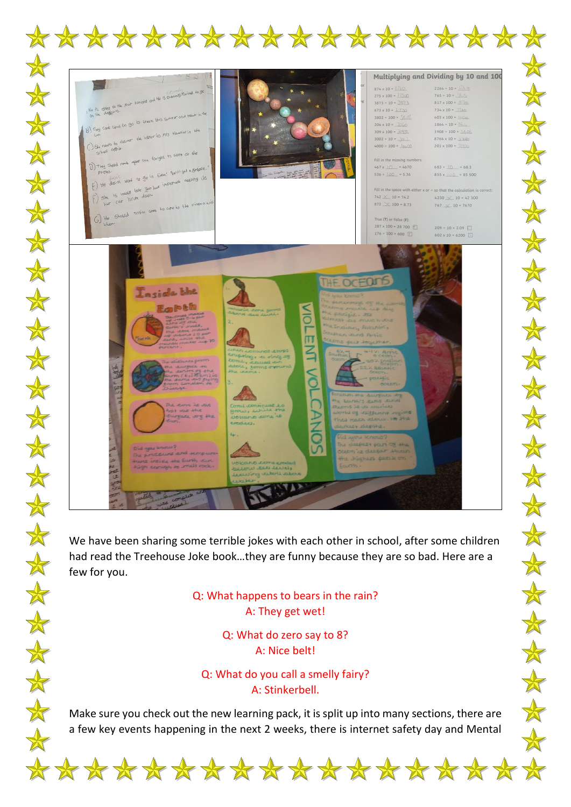

We have been sharing some terrible jokes with each other in school, after some children had read the Treehouse Joke book…they are funny because they are so bad. Here are a few for you.

 $\color{red} \bigstar$ 

 $\bigstar$ 

 $\bigstar$ 

## Q: What happens to bears in the rain? A: They get wet!

Q: What do zero say to 8? A: Nice belt!

Q: What do you call a smelly fairy? A: Stinkerbell.

Make sure you check out the new learning pack, it is split up into many sections, there are a few key events happening in the next 2 weeks, there is internet safety day and Mental

 $\frac{1}{N}$ 

 $\frac{1}{N}$ 

 $\frac{1}{\sqrt{2}}$ 

 $\frac{1}{\sqrt{2}}$ 

 $\frac{\mathbf{A}}{\mathbf{A}}$